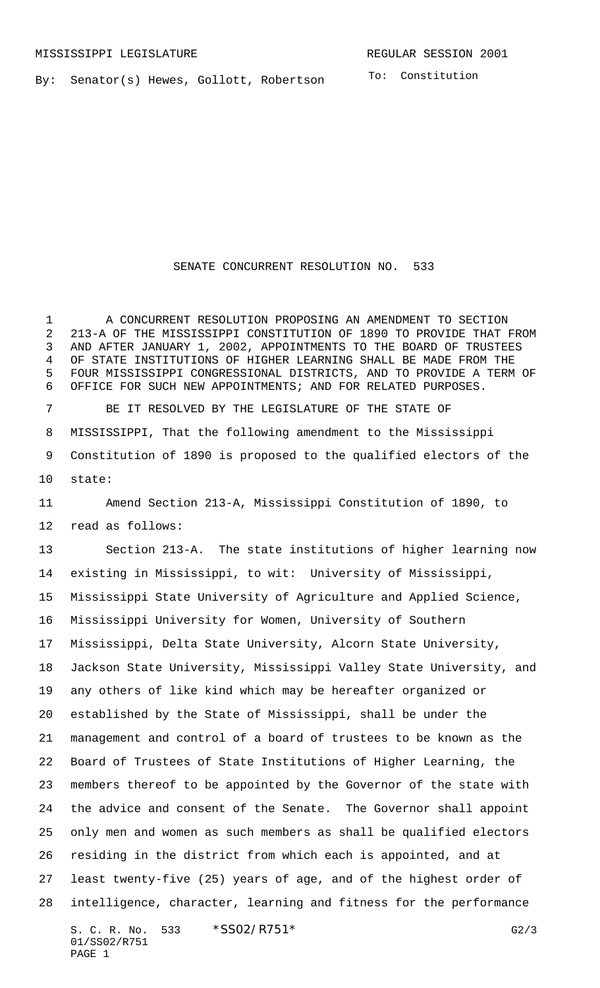By: Senator(s) Hewes, Gollott, Robertson

To: Constitution

## SENATE CONCURRENT RESOLUTION NO. 533

 A CONCURRENT RESOLUTION PROPOSING AN AMENDMENT TO SECTION 213-A OF THE MISSISSIPPI CONSTITUTION OF 1890 TO PROVIDE THAT FROM AND AFTER JANUARY 1, 2002, APPOINTMENTS TO THE BOARD OF TRUSTEES OF STATE INSTITUTIONS OF HIGHER LEARNING SHALL BE MADE FROM THE FOUR MISSISSIPPI CONGRESSIONAL DISTRICTS, AND TO PROVIDE A TERM OF OFFICE FOR SUCH NEW APPOINTMENTS; AND FOR RELATED PURPOSES.

 BE IT RESOLVED BY THE LEGISLATURE OF THE STATE OF MISSISSIPPI, That the following amendment to the Mississippi Constitution of 1890 is proposed to the qualified electors of the state:

 Amend Section 213-A, Mississippi Constitution of 1890, to read as follows:

S. C. R. No. 533 \* SS02/R751\* G2/3 Section 213-A. The state institutions of higher learning now existing in Mississippi, to wit: University of Mississippi, Mississippi State University of Agriculture and Applied Science, Mississippi University for Women, University of Southern Mississippi, Delta State University, Alcorn State University, Jackson State University, Mississippi Valley State University, and any others of like kind which may be hereafter organized or established by the State of Mississippi, shall be under the management and control of a board of trustees to be known as the Board of Trustees of State Institutions of Higher Learning, the members thereof to be appointed by the Governor of the state with the advice and consent of the Senate. The Governor shall appoint only men and women as such members as shall be qualified electors residing in the district from which each is appointed, and at least twenty-five (25) years of age, and of the highest order of intelligence, character, learning and fitness for the performance

01/SS02/R751 PAGE 1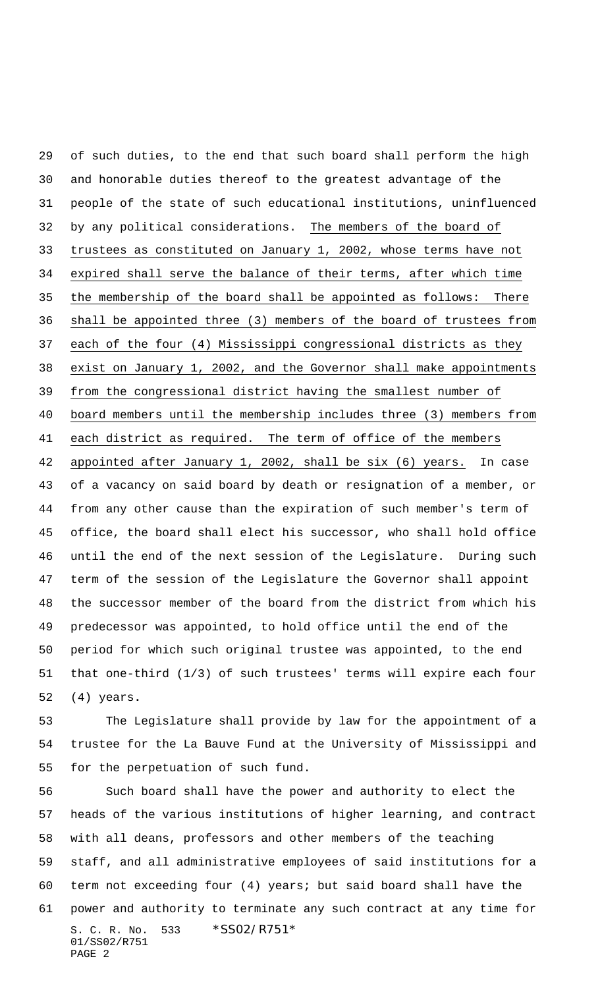of such duties, to the end that such board shall perform the high and honorable duties thereof to the greatest advantage of the people of the state of such educational institutions, uninfluenced by any political considerations. The members of the board of trustees as constituted on January 1, 2002, whose terms have not expired shall serve the balance of their terms, after which time the membership of the board shall be appointed as follows: There shall be appointed three (3) members of the board of trustees from each of the four (4) Mississippi congressional districts as they exist on January 1, 2002, and the Governor shall make appointments from the congressional district having the smallest number of board members until the membership includes three (3) members from each district as required. The term of office of the members appointed after January 1, 2002, shall be six (6) years. In case of a vacancy on said board by death or resignation of a member, or from any other cause than the expiration of such member's term of office, the board shall elect his successor, who shall hold office until the end of the next session of the Legislature. During such term of the session of the Legislature the Governor shall appoint the successor member of the board from the district from which his predecessor was appointed, to hold office until the end of the period for which such original trustee was appointed, to the end that one-third (1/3) of such trustees' terms will expire each four (4) years**.**

 The Legislature shall provide by law for the appointment of a trustee for the La Bauve Fund at the University of Mississippi and for the perpetuation of such fund.

S. C. R. No. 533 \* SS02/R751\* 01/SS02/R751 PAGE 2 Such board shall have the power and authority to elect the heads of the various institutions of higher learning, and contract with all deans, professors and other members of the teaching staff, and all administrative employees of said institutions for a term not exceeding four (4) years; but said board shall have the power and authority to terminate any such contract at any time for